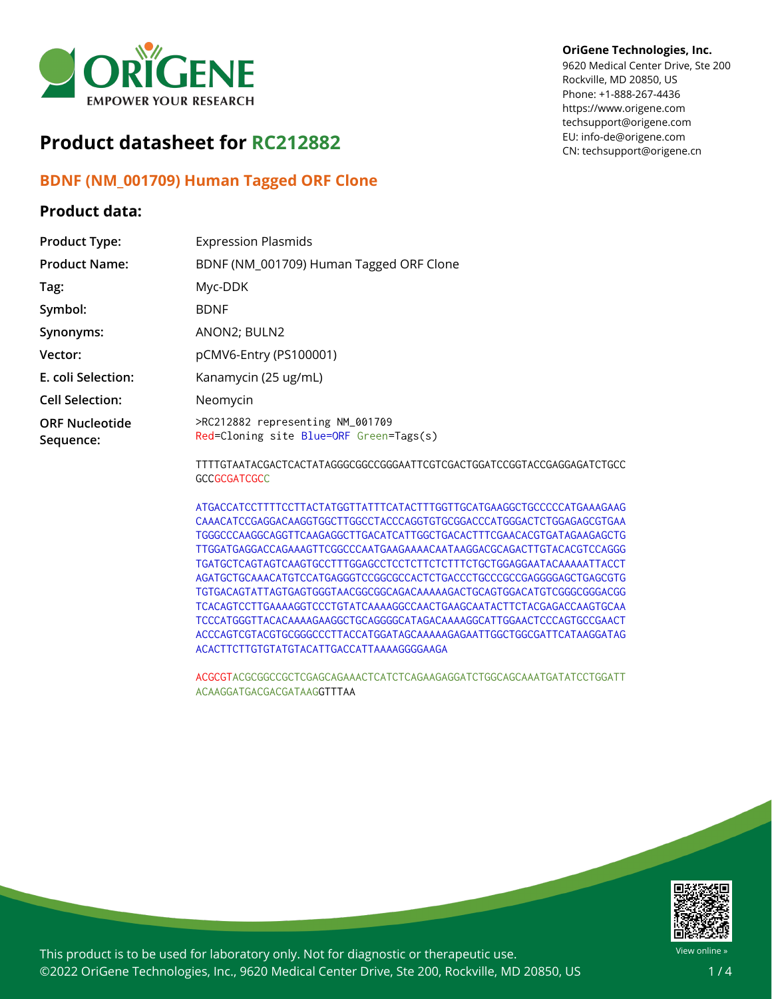

# **Product datasheet for RC212882**

## **BDNF (NM\_001709) Human Tagged ORF Clone**

### **Product data:**

### **OriGene Technologies, Inc.**

9620 Medical Center Drive, Ste 200 Rockville, MD 20850, US Phone: +1-888-267-4436 https://www.origene.com techsupport@origene.com EU: info-de@origene.com CN: techsupport@origene.cn

| <b>Product Type:</b>               | <b>Expression Plasmids</b>                                                      |
|------------------------------------|---------------------------------------------------------------------------------|
| <b>Product Name:</b>               | BDNF (NM_001709) Human Tagged ORF Clone                                         |
| Tag:                               | Myc-DDK                                                                         |
| Symbol:                            | <b>BDNF</b>                                                                     |
| Synonyms:                          | ANON2; BULN2                                                                    |
| Vector:                            | pCMV6-Entry (PS100001)                                                          |
| E. coli Selection:                 | Kanamycin (25 ug/mL)                                                            |
| <b>Cell Selection:</b>             | Neomycin                                                                        |
| <b>ORF Nucleotide</b><br>Sequence: | >RC212882 representing NM_001709<br>Red=Cloning site Blue=ORF Green=Tags(s)     |
|                                    | TTTTCT LLT LOC LOTO LOT LT LOCOCOCOCOCOL LTTOCTOO LOTOO LTOCOCOT LOCO LOC LOL O |

TTTTGTAATACGACTCACTATAGGGCGGCCGGGAATTCGTCGACTGGATCCGGTACCGAGGAGATCTGCC **GCCGCGATCGCC** 

ATGACCATCCTTTTCCTTACTATGGTTATTTCATACTTTGGTTGCATGAAGGCTGCCCCCATGAAAGAAG CAAACATCCGAGGACAAGGTGGCTTGGCCTACCCAGGTGTGCGGACCCATGGGACTCTGGAGAGCGTGAA TGGGCCCAAGGCAGGTTCAAGAGGCTTGACATCATTGGCTGACACTTTCGAACACGTGATAGAAGAGCTG TTGGATGAGGACCAGAAAGTTCGGCCCAATGAAGAAAACAATAAGGACGCAGACTTGTACACGTCCAGGG TGATGCTCAGTAGTCAAGTGCCTTTGGAGCCTCCTCTTCTCTTTCTGCTGGAGGAATACAAAAATTACCT AGATGCTGCAAACATGTCCATGAGGGTCCGGCGCCACTCTGACCCTGCCCGCCGAGGGGAGCTGAGCGTG TGTGACAGTATTAGTGAGTGGGTAACGGCGGCAGACAAAAAGACTGCAGTGGACATGTCGGGCGGGACGG TCACAGTCCTTGAAAAGGTCCCTGTATCAAAAGGCCAACTGAAGCAATACTTCTACGAGACCAAGTGCAA TCCCATGGGTTACACAAAAGAAGGCTGCAGGGGCATAGACAAAAGGCATTGGAACTCCCAGTGCCGAACT ACCCAGTCGTACGTGCGGGCCCTTACCATGGATAGCAAAAAGAGAATTGGCTGGCGATTCATAAGGATAG ACACTTCTTGTGTATGTACATTGACCATTAAAAGGGGAAGA

ACGCGTACGCGGCCGCTCGAGCAGAAACTCATCTCAGAAGAGGATCTGGCAGCAAATGATATCCTGGATT ACAAGGATGACGACGATAAGGTTTAA



This product is to be used for laboratory only. Not for diagnostic or therapeutic use. ©2022 OriGene Technologies, Inc., 9620 Medical Center Drive, Ste 200, Rockville, MD 20850, US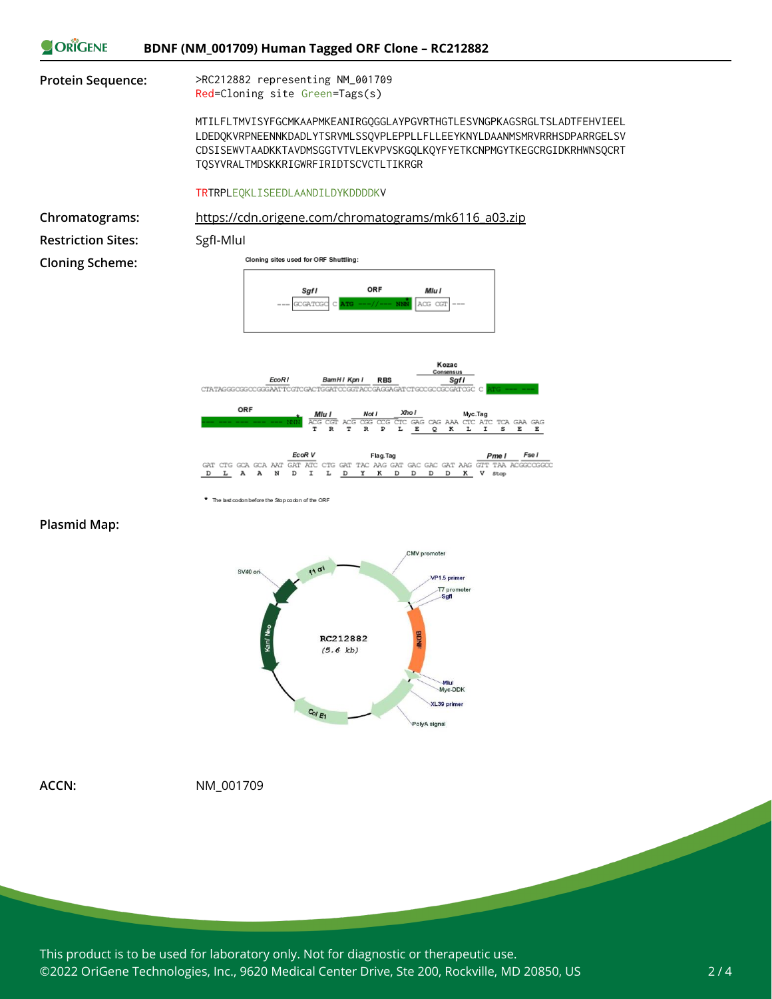



\* The last codon before the Stop codon of the ORF





**ACCN:** NM\_001709

This product is to be used for laboratory only. Not for diagnostic or therapeutic use. ©2022 OriGene Technologies, Inc., 9620 Medical Center Drive, Ste 200, Rockville, MD 20850, US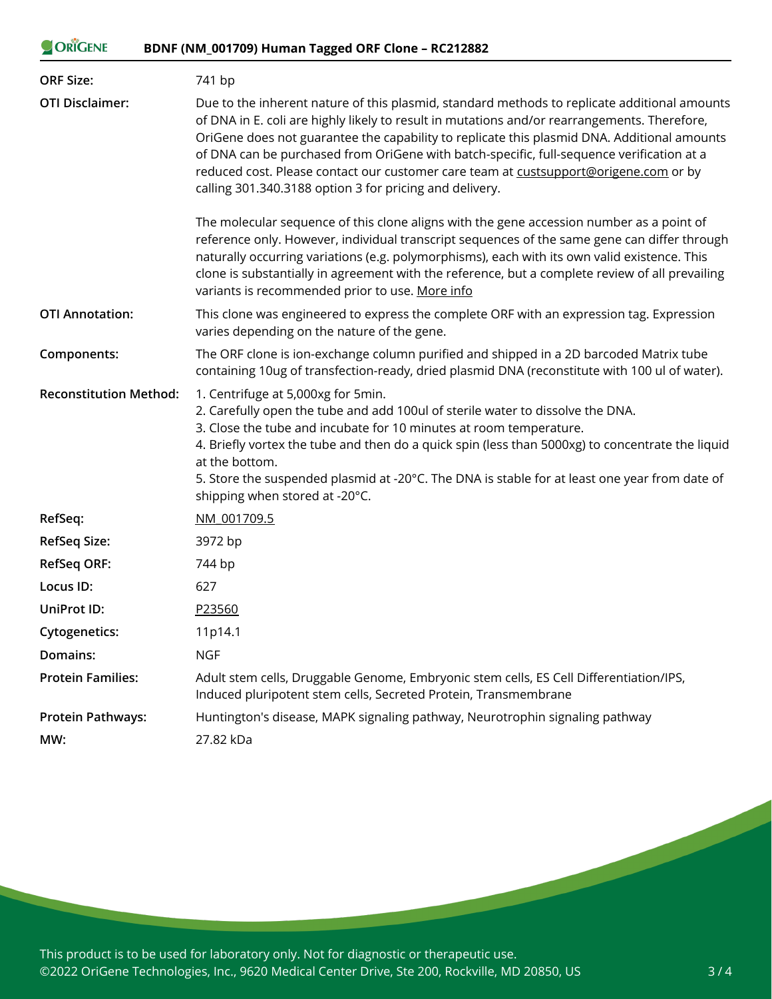### ORIGENE **BDNF (NM\_001709) Human Tagged ORF Clone – RC212882**

| <b>ORF Size:</b>              | 741 bp                                                                                                                                                                                                                                                                                                                                                                                                                                                                                                                                      |
|-------------------------------|---------------------------------------------------------------------------------------------------------------------------------------------------------------------------------------------------------------------------------------------------------------------------------------------------------------------------------------------------------------------------------------------------------------------------------------------------------------------------------------------------------------------------------------------|
| <b>OTI Disclaimer:</b>        | Due to the inherent nature of this plasmid, standard methods to replicate additional amounts<br>of DNA in E. coli are highly likely to result in mutations and/or rearrangements. Therefore,<br>OriGene does not guarantee the capability to replicate this plasmid DNA. Additional amounts<br>of DNA can be purchased from OriGene with batch-specific, full-sequence verification at a<br>reduced cost. Please contact our customer care team at custsupport@origene.com or by<br>calling 301.340.3188 option 3 for pricing and delivery. |
|                               | The molecular sequence of this clone aligns with the gene accession number as a point of<br>reference only. However, individual transcript sequences of the same gene can differ through<br>naturally occurring variations (e.g. polymorphisms), each with its own valid existence. This<br>clone is substantially in agreement with the reference, but a complete review of all prevailing<br>variants is recommended prior to use. More info                                                                                              |
| <b>OTI Annotation:</b>        | This clone was engineered to express the complete ORF with an expression tag. Expression<br>varies depending on the nature of the gene.                                                                                                                                                                                                                                                                                                                                                                                                     |
| Components:                   | The ORF clone is ion-exchange column purified and shipped in a 2D barcoded Matrix tube<br>containing 10ug of transfection-ready, dried plasmid DNA (reconstitute with 100 ul of water).                                                                                                                                                                                                                                                                                                                                                     |
| <b>Reconstitution Method:</b> | 1. Centrifuge at 5,000xg for 5min.<br>2. Carefully open the tube and add 100ul of sterile water to dissolve the DNA.<br>3. Close the tube and incubate for 10 minutes at room temperature.<br>4. Briefly vortex the tube and then do a quick spin (less than 5000xg) to concentrate the liquid<br>at the bottom.<br>5. Store the suspended plasmid at -20°C. The DNA is stable for at least one year from date of<br>shipping when stored at -20°C.                                                                                         |
| RefSeq:                       | NM 001709.5                                                                                                                                                                                                                                                                                                                                                                                                                                                                                                                                 |
| RefSeq Size:                  | 3972 bp                                                                                                                                                                                                                                                                                                                                                                                                                                                                                                                                     |
| <b>RefSeq ORF:</b>            | 744 bp                                                                                                                                                                                                                                                                                                                                                                                                                                                                                                                                      |
| Locus ID:                     | 627                                                                                                                                                                                                                                                                                                                                                                                                                                                                                                                                         |
| UniProt ID:                   | P23560                                                                                                                                                                                                                                                                                                                                                                                                                                                                                                                                      |
| <b>Cytogenetics:</b>          | 11p14.1                                                                                                                                                                                                                                                                                                                                                                                                                                                                                                                                     |
| Domains:                      | <b>NGF</b>                                                                                                                                                                                                                                                                                                                                                                                                                                                                                                                                  |
| <b>Protein Families:</b>      | Adult stem cells, Druggable Genome, Embryonic stem cells, ES Cell Differentiation/IPS,<br>Induced pluripotent stem cells, Secreted Protein, Transmembrane                                                                                                                                                                                                                                                                                                                                                                                   |
| <b>Protein Pathways:</b>      | Huntington's disease, MAPK signaling pathway, Neurotrophin signaling pathway                                                                                                                                                                                                                                                                                                                                                                                                                                                                |
| MW:                           | 27.82 kDa                                                                                                                                                                                                                                                                                                                                                                                                                                                                                                                                   |

This product is to be used for laboratory only. Not for diagnostic or therapeutic use. ©2022 OriGene Technologies, Inc., 9620 Medical Center Drive, Ste 200, Rockville, MD 20850, US